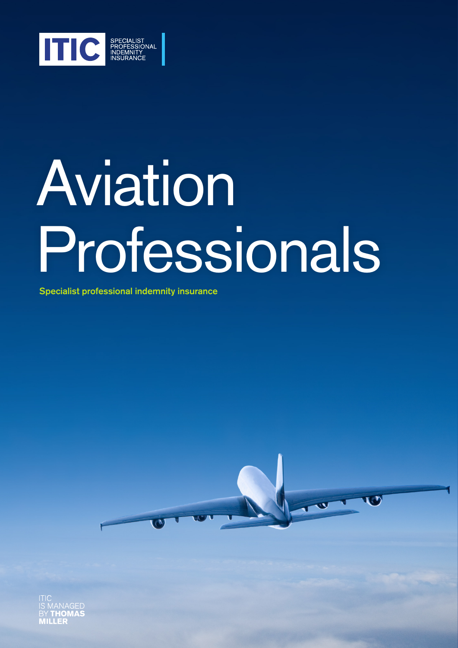

# Aviation Professionals

Specialist professional indemnity insurance



l EB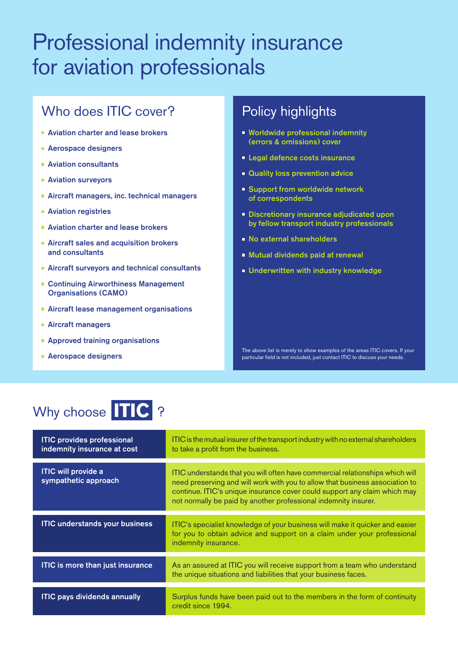## Professional indemnity insurance for aviation professionals

## Who does **ITIC** cover?

- **Aviation charter and lease brokers**
- **Aerospace designers**
- **Aviation consultants**
- **Aviation surveyors**
- **Aircraft managers, inc. technical managers**
- **Aviation registries**
- **Aviation charter and lease brokers**
- Aircraft sales and acquisition brokers and consultants
- **Aircraft surveyors and technical consultants**
- Continuing Airworthiness Management Organisations (CAMO)
- **Aircraft lease management organisations**
- **Aircraft managers**
- **Approved training organisations**
- **Aerospace designers**

## **Policy highlights**

- **Worldwide professional indemnity** (errors & omissions) cover
- **Legal defence costs insurance**
- **Quality loss prevention advice**
- Support from worldwide network of correspondents
- **Discretionary insurance adjudicated upon** by fellow transport industry professionals
- **No external shareholders**
- Mutual dividends paid at renewal
- **Underwritten with industry knowledge**

The above list is merely to show examples of the areas ITIC covers. If your particular field is not included, just contact ITIC to discuss your needs.

## Why choose TIC ?

| <b>ITIC provides professional</b><br>indemnity insurance at cost | ITIC is the mutual insurer of the transport industry with no external shareholders<br>to take a profit from the business.                                                                                                                                                                                     |
|------------------------------------------------------------------|---------------------------------------------------------------------------------------------------------------------------------------------------------------------------------------------------------------------------------------------------------------------------------------------------------------|
| <b>ITIC will provide a</b><br>sympathetic approach               | ITIC understands that you will often have commercial relationships which will<br>need preserving and will work with you to allow that business association to<br>continue. ITIC's unique insurance cover could support any claim which may<br>not normally be paid by another professional indemnity insurer. |
| <b>ITIC understands your business</b>                            | ITIC's specialist knowledge of your business will make it quicker and easier<br>for you to obtain advice and support on a claim under your professional<br>indemnity insurance.                                                                                                                               |
| <b>ITIC is more than just insurance</b>                          | As an assured at ITIC you will receive support from a team who understand<br>the unique situations and liabilities that your business faces.                                                                                                                                                                  |
| <b>ITIC pays dividends annually</b>                              | Surplus funds have been paid out to the members in the form of continuity<br>credit since 1994.                                                                                                                                                                                                               |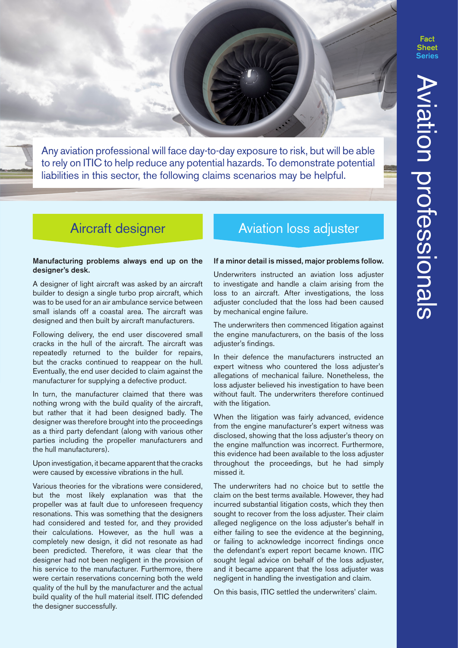**Fact** 

Any aviation professional will face day-to-day exposure to risk, but will be able to rely on ITIC to help reduce any potential hazards. To demonstrate potential liabilities in this sector, the following claims scenarios may be helpful.

#### Manufacturing problems always end up on the designer's desk.

A designer of light aircraft was asked by an aircraft builder to design a single turbo prop aircraft, which was to be used for an air ambulance service between small islands off a coastal area. The aircraft was designed and then built by aircraft manufacturers.

Following delivery, the end user discovered small cracks in the hull of the aircraft. The aircraft was repeatedly returned to the builder for repairs, but the cracks continued to reappear on the hull. Eventually, the end user decided to claim against the manufacturer for supplying a defective product.

In turn, the manufacturer claimed that there was nothing wrong with the build quality of the aircraft, but rather that it had been designed badly. The designer was therefore brought into the proceedings as a third party defendant (along with various other parties including the propeller manufacturers and the hull manufacturers).

Upon investigation, it became apparent that the cracks were caused by excessive vibrations in the hull.

Various theories for the vibrations were considered, but the most likely explanation was that the propeller was at fault due to unforeseen frequency resonations. This was something that the designers had considered and tested for, and they provided their calculations. However, as the hull was a completely new design, it did not resonate as had been predicted. Therefore, it was clear that the designer had not been negligent in the provision of his service to the manufacturer. Furthermore, there were certain reservations concerning both the weld quality of the hull by the manufacturer and the actual build quality of the hull material itself. ITIC defended the designer successfully.

## Aircraft designer **Aviation Lation School**

#### If a minor detail is missed, major problems follow.

Underwriters instructed an aviation loss adjuster to investigate and handle a claim arising from the loss to an aircraft. After investigations, the loss adjuster concluded that the loss had been caused by mechanical engine failure.

The underwriters then commenced litigation against the engine manufacturers, on the basis of the loss adjuster's findings.

In their defence the manufacturers instructed an expert witness who countered the loss adjuster's allegations of mechanical failure. Nonetheless, the loss adjuster believed his investigation to have been without fault. The underwriters therefore continued with the litigation.

When the litigation was fairly advanced, evidence from the engine manufacturer's expert witness was disclosed, showing that the loss adjuster's theory on the engine malfunction was incorrect. Furthermore, this evidence had been available to the loss adjuster throughout the proceedings, but he had simply missed it.

The underwriters had no choice but to settle the claim on the best terms available. However, they had incurred substantial litigation costs, which they then sought to recover from the loss adjuster. Their claim alleged negligence on the loss adjuster's behalf in either failing to see the evidence at the beginning, or failing to acknowledge incorrect findings once the defendant's expert report became known. ITIC sought legal advice on behalf of the loss adjuster, and it became apparent that the loss adjuster was negligent in handling the investigation and claim.

On this basis, ITIC settled the underwriters' claim.